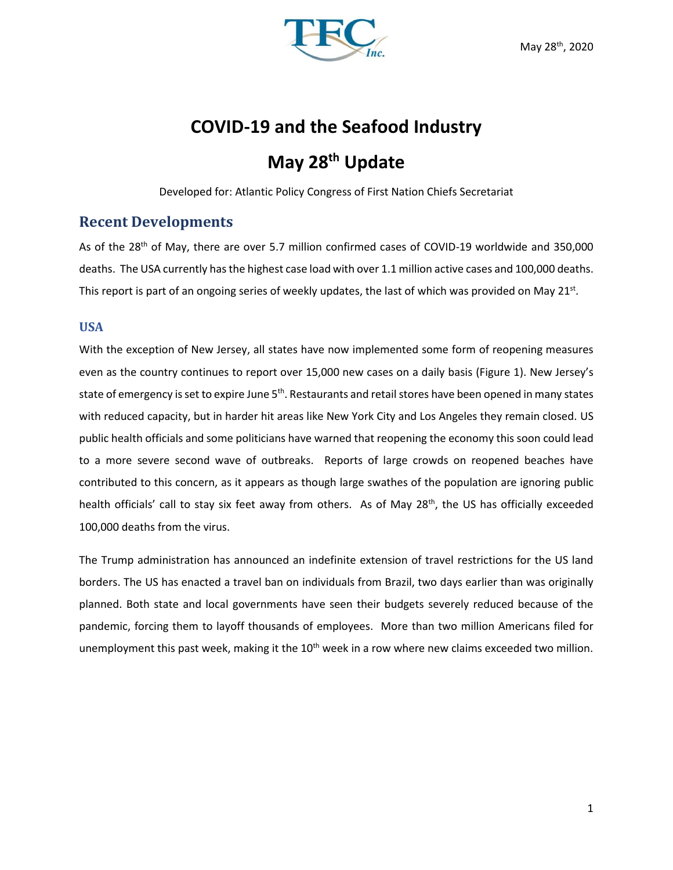

# **COVID-19 and the Seafood Industry**

## **May 28th Update**

Developed for: Atlantic Policy Congress of First Nation Chiefs Secretariat

## **Recent Developments**

As of the 28<sup>th</sup> of May, there are over 5.7 million confirmed cases of COVID-19 worldwide and 350,000 deaths. The USA currently has the highest case load with over 1.1 million active cases and 100,000 deaths. This report is part of an ongoing series of weekly updates, the last of which was provided on May 21st.

## **USA**

With the exception of New Jersey, all states have now implemented some form of reopening measures even as the country continues to report over 15,000 new cases on a daily basis (Figure 1). New Jersey's state of emergency is set to expire June 5<sup>th</sup>. Restaurants and retail stores have been opened in many states with reduced capacity, but in harder hit areas like New York City and Los Angeles they remain closed. US public health officials and some politicians have warned that reopening the economy this soon could lead to a more severe second wave of outbreaks. Reports of large crowds on reopened beaches have contributed to this concern, as it appears as though large swathes of the population are ignoring public health officials' call to stay six feet away from others. As of May 28<sup>th</sup>, the US has officially exceeded 100,000 deaths from the virus.

The Trump administration has announced an indefinite extension of travel restrictions for the US land borders. The US has enacted a travel ban on individuals from Brazil, two days earlier than was originally planned. Both state and local governments have seen their budgets severely reduced because of the pandemic, forcing them to layoff thousands of employees. More than two million Americans filed for unemployment this past week, making it the  $10<sup>th</sup>$  week in a row where new claims exceeded two million.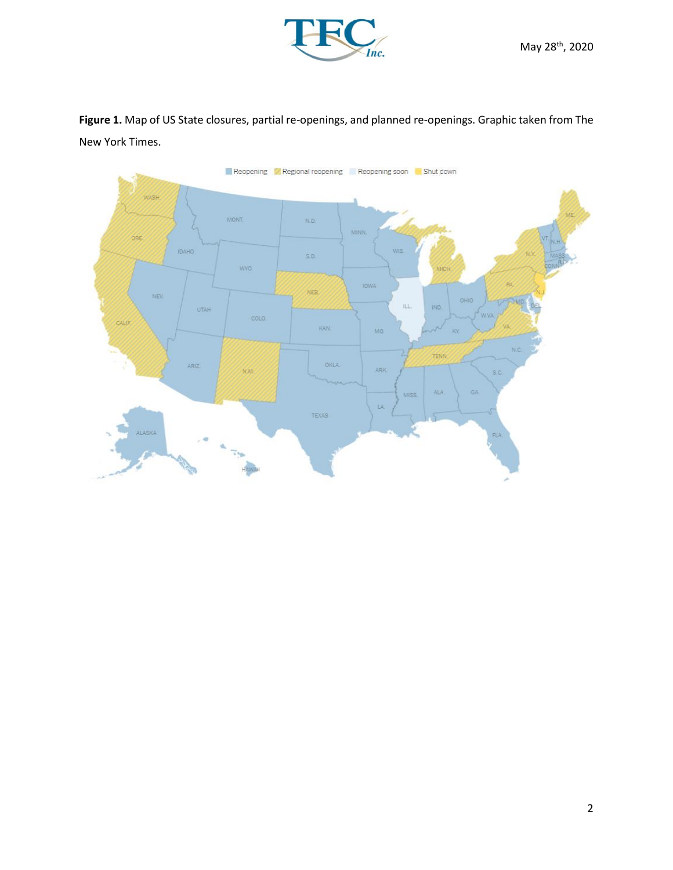

**Figure 1.** Map of US State closures, partial re-openings, and planned re-openings. Graphic taken from The New York Times.

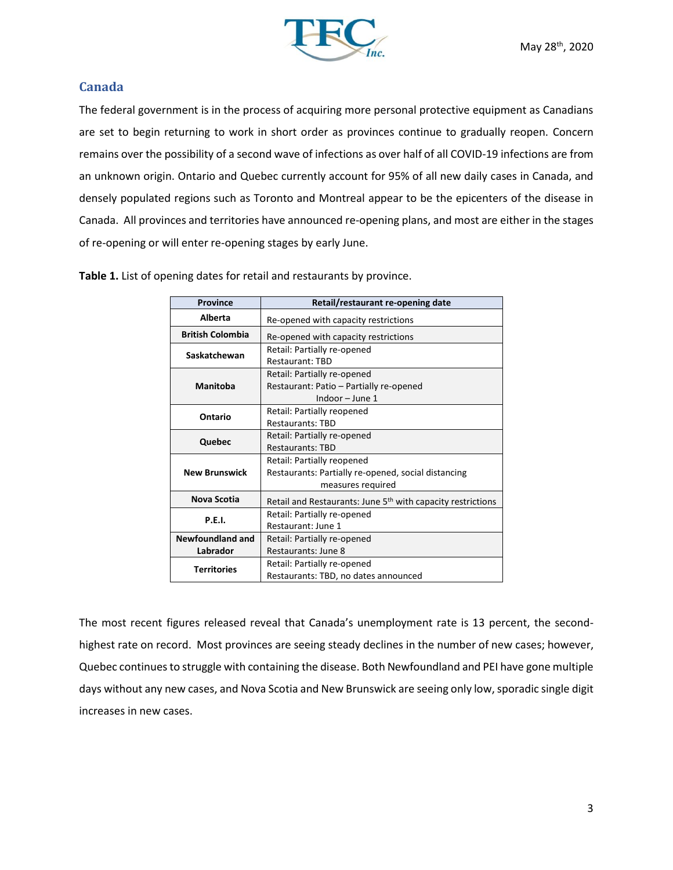

## **Canada**

The federal government is in the process of acquiring more personal protective equipment as Canadians are set to begin returning to work in short order as provinces continue to gradually reopen. Concern remains over the possibility of a second wave of infections as over half of all COVID-19 infections are from an unknown origin. Ontario and Quebec currently account for 95% of all new daily cases in Canada, and densely populated regions such as Toronto and Montreal appear to be the epicenters of the disease in Canada. All provinces and territories have announced re-opening plans, and most are either in the stages of re-opening or will enter re-opening stages by early June.

| <b>Province</b>         | Retail/restaurant re-opening date                                       |  |  |  |  |  |
|-------------------------|-------------------------------------------------------------------------|--|--|--|--|--|
| Alberta                 | Re-opened with capacity restrictions                                    |  |  |  |  |  |
| <b>British Colombia</b> | Re-opened with capacity restrictions                                    |  |  |  |  |  |
| Saskatchewan            | Retail: Partially re-opened                                             |  |  |  |  |  |
|                         | <b>Restaurant: TBD</b>                                                  |  |  |  |  |  |
|                         | Retail: Partially re-opened                                             |  |  |  |  |  |
| <b>Manitoba</b>         | Restaurant: Patio - Partially re-opened                                 |  |  |  |  |  |
|                         | Indoor - June 1                                                         |  |  |  |  |  |
| Ontario                 | Retail: Partially reopened                                              |  |  |  |  |  |
|                         | <b>Restaurants: TBD</b>                                                 |  |  |  |  |  |
| Quebec                  | Retail: Partially re-opened                                             |  |  |  |  |  |
|                         | <b>Restaurants: TBD</b>                                                 |  |  |  |  |  |
|                         | Retail: Partially reopened                                              |  |  |  |  |  |
| <b>New Brunswick</b>    | Restaurants: Partially re-opened, social distancing                     |  |  |  |  |  |
|                         | measures required                                                       |  |  |  |  |  |
| Nova Scotia             | Retail and Restaurants: June 5 <sup>th</sup> with capacity restrictions |  |  |  |  |  |
| P.E.I.                  | Retail: Partially re-opened                                             |  |  |  |  |  |
|                         | Restaurant: June 1                                                      |  |  |  |  |  |
| <b>Newfoundland and</b> | Retail: Partially re-opened                                             |  |  |  |  |  |
| Labrador                | Restaurants: June 8                                                     |  |  |  |  |  |
|                         | Retail: Partially re-opened                                             |  |  |  |  |  |
| <b>Territories</b>      | Restaurants: TBD, no dates announced                                    |  |  |  |  |  |

**Table 1.** List of opening dates for retail and restaurants by province.

The most recent figures released reveal that Canada's unemployment rate is 13 percent, the secondhighest rate on record. Most provinces are seeing steady declines in the number of new cases; however, Quebec continues to struggle with containing the disease. Both Newfoundland and PEI have gone multiple days without any new cases, and Nova Scotia and New Brunswick are seeing only low, sporadic single digit increases in new cases.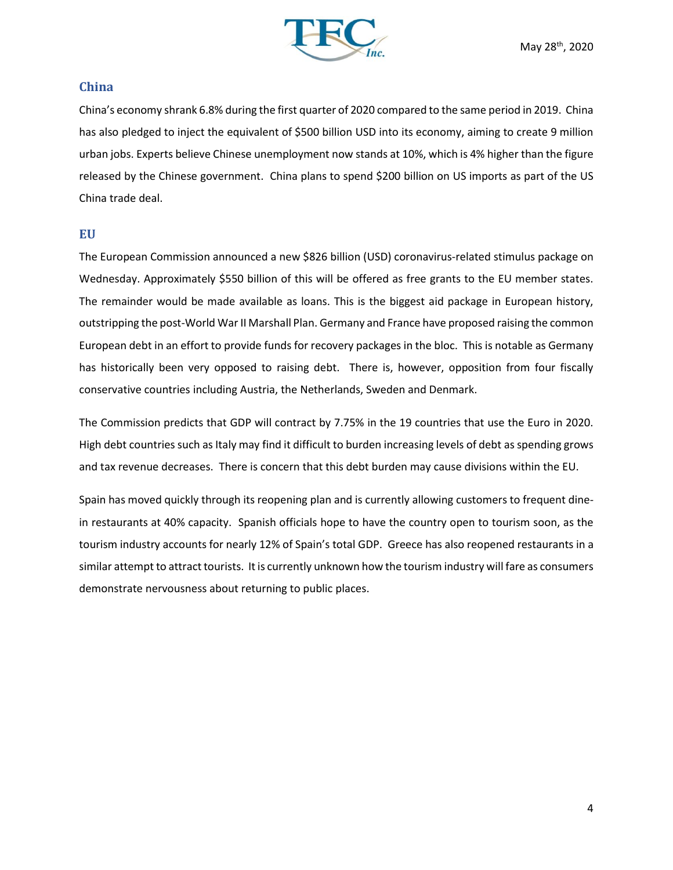

#### **China**

China's economy shrank 6.8% during the first quarter of 2020 compared to the same period in 2019. China has also pledged to inject the equivalent of \$500 billion USD into its economy, aiming to create 9 million urban jobs. Experts believe Chinese unemployment now stands at 10%, which is 4% higher than the figure released by the Chinese government. China plans to spend \$200 billion on US imports as part of the US China trade deal.

## **EU**

The European Commission announced a new \$826 billion (USD) coronavirus-related stimulus package on Wednesday. Approximately \$550 billion of this will be offered as free grants to the EU member states. The remainder would be made available as loans. This is the biggest aid package in European history, outstripping the post-World War II Marshall Plan. Germany and France have proposed raising the common European debt in an effort to provide funds for recovery packages in the bloc. This is notable as Germany has historically been very opposed to raising debt. There is, however, opposition from four fiscally conservative countries including Austria, the Netherlands, Sweden and Denmark.

The Commission predicts that GDP will contract by 7.75% in the 19 countries that use the Euro in 2020. High debt countries such as Italy may find it difficult to burden increasing levels of debt as spending grows and tax revenue decreases. There is concern that this debt burden may cause divisions within the EU.

Spain has moved quickly through its reopening plan and is currently allowing customers to frequent dinein restaurants at 40% capacity. Spanish officials hope to have the country open to tourism soon, as the tourism industry accounts for nearly 12% of Spain's total GDP. Greece has also reopened restaurants in a similar attempt to attract tourists. It is currently unknown how the tourism industry will fare as consumers demonstrate nervousness about returning to public places.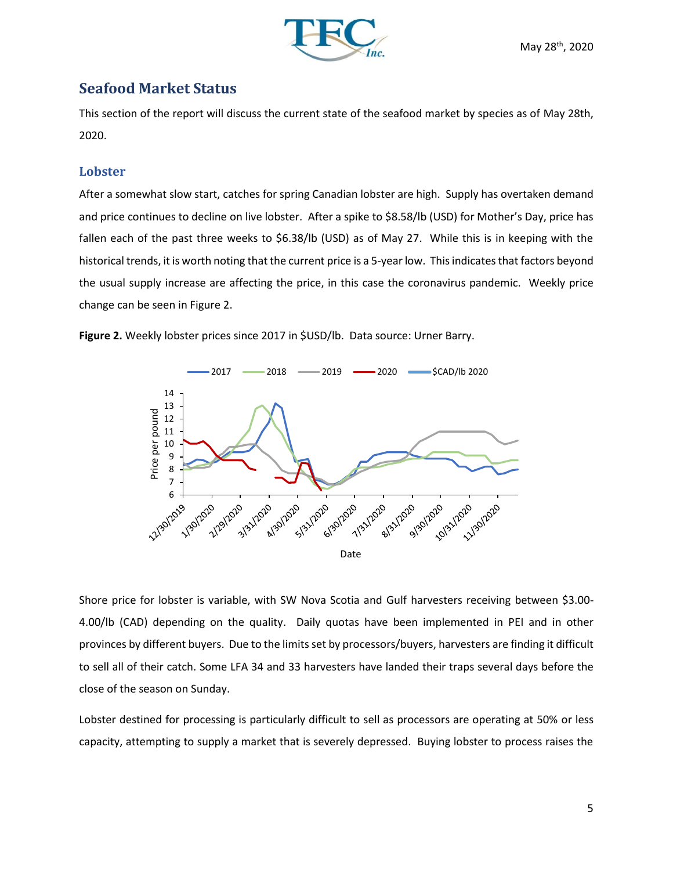

## **Seafood Market Status**

This section of the report will discuss the current state of the seafood market by species as of May 28th, 2020.

## **Lobster**

After a somewhat slow start, catches for spring Canadian lobster are high. Supply has overtaken demand and price continues to decline on live lobster. After a spike to \$8.58/lb (USD) for Mother's Day, price has fallen each of the past three weeks to \$6.38/lb (USD) as of May 27. While this is in keeping with the historical trends, it is worth noting that the current price is a 5-year low. This indicates that factors beyond the usual supply increase are affecting the price, in this case the coronavirus pandemic. Weekly price change can be seen in Figure 2.





Shore price for lobster is variable, with SW Nova Scotia and Gulf harvesters receiving between \$3.00- 4.00/lb (CAD) depending on the quality. Daily quotas have been implemented in PEI and in other provinces by different buyers. Due to the limits set by processors/buyers, harvesters are finding it difficult to sell all of their catch. Some LFA 34 and 33 harvesters have landed their traps several days before the close of the season on Sunday.

Lobster destined for processing is particularly difficult to sell as processors are operating at 50% or less capacity, attempting to supply a market that is severely depressed. Buying lobster to process raises the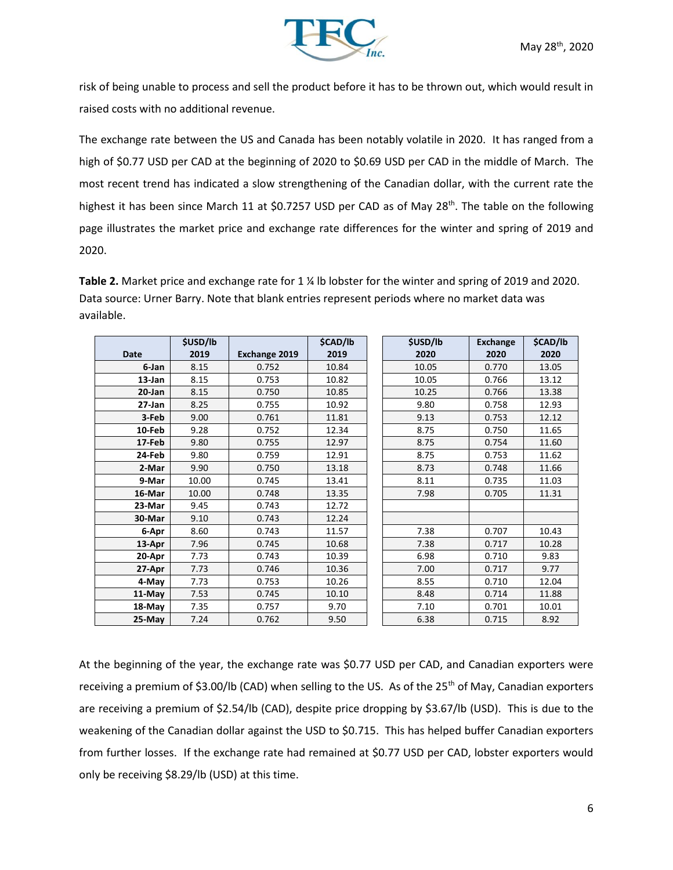

risk of being unable to process and sell the product before it has to be thrown out, which would result in raised costs with no additional revenue.

The exchange rate between the US and Canada has been notably volatile in 2020. It has ranged from a high of \$0.77 USD per CAD at the beginning of 2020 to \$0.69 USD per CAD in the middle of March. The most recent trend has indicated a slow strengthening of the Canadian dollar, with the current rate the highest it has been since March 11 at \$0.7257 USD per CAD as of May 28<sup>th</sup>. The table on the following page illustrates the market price and exchange rate differences for the winter and spring of 2019 and 2020.

**Table 2.** Market price and exchange rate for 1 ¼ lb lobster for the winter and spring of 2019 and 2020. Data source: Urner Barry. Note that blank entries represent periods where no market data was available.

|             | \$USD/lb |                      | \$CAD/lb | \$USD/lb | <b>Exchange</b> | \$CAD/lb |
|-------------|----------|----------------------|----------|----------|-----------------|----------|
| <b>Date</b> | 2019     | <b>Exchange 2019</b> | 2019     | 2020     | 2020            | 2020     |
| 6-Jan       | 8.15     | 0.752                | 10.84    | 10.05    | 0.770           | 13.05    |
| 13-Jan      | 8.15     | 0.753                | 10.82    | 10.05    | 0.766           | 13.12    |
| 20-Jan      | 8.15     | 0.750                | 10.85    | 10.25    | 0.766           | 13.38    |
| 27-Jan      | 8.25     | 0.755                | 10.92    | 9.80     | 0.758           | 12.93    |
| 3-Feb       | 9.00     | 0.761                | 11.81    | 9.13     | 0.753           | 12.12    |
| 10-Feb      | 9.28     | 0.752                | 12.34    | 8.75     | 0.750           | 11.65    |
| 17-Feb      | 9.80     | 0.755                | 12.97    | 8.75     | 0.754           | 11.60    |
| 24-Feb      | 9.80     | 0.759                | 12.91    | 8.75     | 0.753           | 11.62    |
| 2-Mar       | 9.90     | 0.750                | 13.18    | 8.73     | 0.748           | 11.66    |
| 9-Mar       | 10.00    | 0.745                | 13.41    | 8.11     | 0.735           | 11.03    |
| 16-Mar      | 10.00    | 0.748                | 13.35    | 7.98     | 0.705           | 11.31    |
| 23-Mar      | 9.45     | 0.743                | 12.72    |          |                 |          |
| 30-Mar      | 9.10     | 0.743                | 12.24    |          |                 |          |
| 6-Apr       | 8.60     | 0.743                | 11.57    | 7.38     | 0.707           | 10.43    |
| 13-Apr      | 7.96     | 0.745                | 10.68    | 7.38     | 0.717           | 10.28    |
| 20-Apr      | 7.73     | 0.743                | 10.39    | 6.98     | 0.710           | 9.83     |
| 27-Apr      | 7.73     | 0.746                | 10.36    | 7.00     | 0.717           | 9.77     |
| 4-May       | 7.73     | 0.753                | 10.26    | 8.55     | 0.710           | 12.04    |
| 11-May      | 7.53     | 0.745                | 10.10    | 8.48     | 0.714           | 11.88    |
| 18-May      | 7.35     | 0.757                | 9.70     | 7.10     | 0.701           | 10.01    |
| 25-May      | 7.24     | 0.762                | 9.50     | 6.38     | 0.715           | 8.92     |

At the beginning of the year, the exchange rate was \$0.77 USD per CAD, and Canadian exporters were receiving a premium of \$3.00/lb (CAD) when selling to the US. As of the 25<sup>th</sup> of May, Canadian exporters are receiving a premium of \$2.54/lb (CAD), despite price dropping by \$3.67/lb (USD). This is due to the weakening of the Canadian dollar against the USD to \$0.715. This has helped buffer Canadian exporters from further losses. If the exchange rate had remained at \$0.77 USD per CAD, lobster exporters would only be receiving \$8.29/lb (USD) at this time.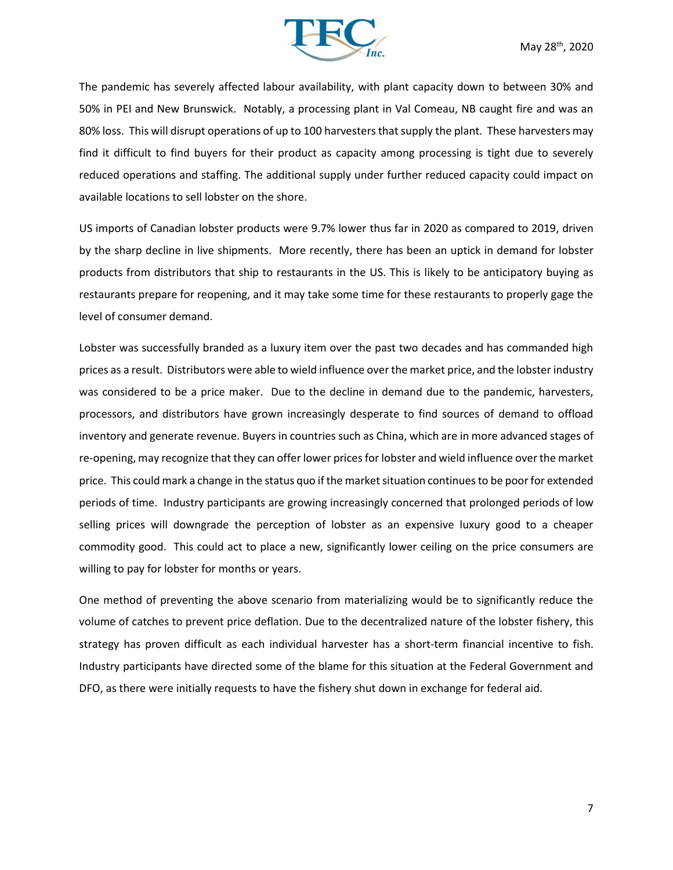

The pandemic has severely affected labour availability, with plant capacity down to between 30% and 50% in PEI and New Brunswick. Notably, a processing plant in Val Comeau, NB caught fire and was an 80% loss. This will disrupt operations of up to 100 harvesters that supply the plant. These harvesters may find it difficult to find buyers for their product as capacity among processing is tight due to severely reduced operations and staffing. The additional supply under further reduced capacity could impact on available locations to sell lobster on the shore.

US imports of Canadian lobster products were 9.7% lower thus far in 2020 as compared to 2019, driven by the sharp decline in live shipments. More recently, there has been an uptick in demand for lobster products from distributors that ship to restaurants in the US. This is likely to be anticipatory buying as restaurants prepare for reopening, and it may take some time for these restaurants to properly gage the level of consumer demand.

Lobster was successfully branded as a luxury item over the past two decades and has commanded high prices as a result. Distributors were able to wield influence over the market price, and the lobster industry was considered to be a price maker. Due to the decline in demand due to the pandemic, harvesters, processors, and distributors have grown increasingly desperate to find sources of demand to offload inventory and generate revenue. Buyers in countries such as China, which are in more advanced stages of re-opening, may recognize that they can offer lower prices for lobster and wield influence over the market price. This could mark a change in the status quo if the market situation continues to be poor for extended periods of time. Industry participants are growing increasingly concerned that prolonged periods of low selling prices will downgrade the perception of lobster as an expensive luxury good to a cheaper commodity good. This could act to place a new, significantly lower ceiling on the price consumers are willing to pay for lobster for months or years.

One method of preventing the above scenario from materializing would be to significantly reduce the volume of catches to prevent price deflation. Due to the decentralized nature of the lobster fishery, this strategy has proven difficult as each individual harvester has a short-term financial incentive to fish. Industry participants have directed some of the blame for this situation at the Federal Government and DFO, as there were initially requests to have the fishery shut down in exchange for federal aid.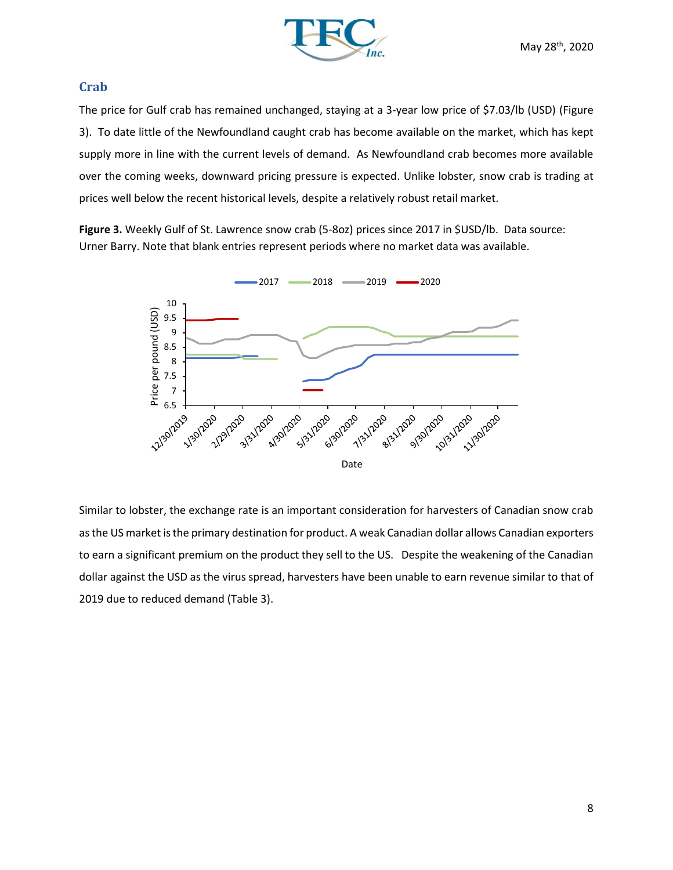

## **Crab**

The price for Gulf crab has remained unchanged, staying at a 3-year low price of \$7.03/lb (USD) (Figure 3). To date little of the Newfoundland caught crab has become available on the market, which has kept supply more in line with the current levels of demand. As Newfoundland crab becomes more available over the coming weeks, downward pricing pressure is expected. Unlike lobster, snow crab is trading at prices well below the recent historical levels, despite a relatively robust retail market.

**Figure 3.** Weekly Gulf of St. Lawrence snow crab (5-8oz) prices since 2017 in \$USD/lb. Data source: Urner Barry. Note that blank entries represent periods where no market data was available.



Similar to lobster, the exchange rate is an important consideration for harvesters of Canadian snow crab as the US market is the primary destination for product. A weak Canadian dollar allows Canadian exporters to earn a significant premium on the product they sell to the US. Despite the weakening of the Canadian dollar against the USD as the virus spread, harvesters have been unable to earn revenue similar to that of 2019 due to reduced demand (Table 3).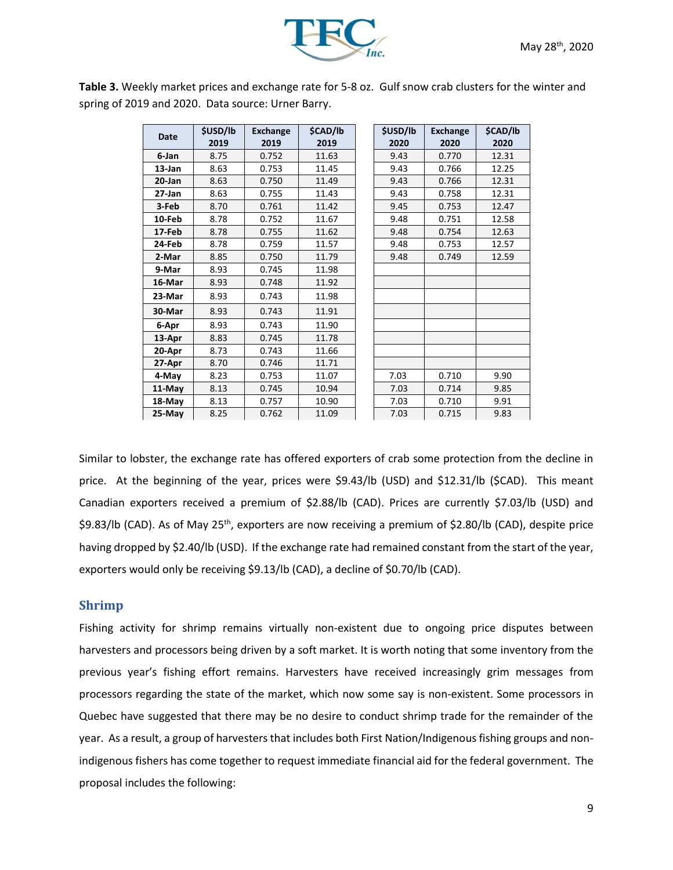

**Table 3.** Weekly market prices and exchange rate for 5-8 oz. Gulf snow crab clusters for the winter and spring of 2019 and 2020. Data source: Urner Barry.

| <b>Date</b> | <b>\$USD/lb</b> | <b>Exchange</b> | \$CAD/lb | <b>\$USD/lb</b> | <b>Exchange</b> | <b>\$CAD/lb</b> |
|-------------|-----------------|-----------------|----------|-----------------|-----------------|-----------------|
|             | 2019            | 2019            | 2019     | 2020            | 2020            | 2020            |
| 6-Jan       | 8.75            | 0.752           | 11.63    | 9.43            | 0.770           | 12.31           |
| 13-Jan      | 8.63            | 0.753           | 11.45    | 9.43            | 0.766           | 12.25           |
| 20-Jan      | 8.63            | 0.750           | 11.49    | 9.43            | 0.766           | 12.31           |
| $27 - Jan$  | 8.63            | 0.755           | 11.43    | 9.43            | 0.758           | 12.31           |
| 3-Feb       | 8.70            | 0.761           | 11.42    | 9.45            | 0.753           | 12.47           |
| 10-Feb      | 8.78            | 0.752           | 11.67    | 9.48            | 0.751           | 12.58           |
| 17-Feb      | 8.78            | 0.755           | 11.62    | 9.48            | 0.754           | 12.63           |
| 24-Feb      | 8.78            | 0.759           | 11.57    | 9.48            | 0.753           | 12.57           |
| 2-Mar       | 8.85            | 0.750           | 11.79    | 9.48            | 0.749           | 12.59           |
| 9-Mar       | 8.93            | 0.745           | 11.98    |                 |                 |                 |
| 16-Mar      | 8.93            | 0.748           | 11.92    |                 |                 |                 |
| 23-Mar      | 8.93            | 0.743           | 11.98    |                 |                 |                 |
| 30-Mar      | 8.93            | 0.743           | 11.91    |                 |                 |                 |
| 6-Apr       | 8.93            | 0.743           | 11.90    |                 |                 |                 |
| 13-Apr      | 8.83            | 0.745           | 11.78    |                 |                 |                 |
| 20-Apr      | 8.73            | 0.743           | 11.66    |                 |                 |                 |
| 27-Apr      | 8.70            | 0.746           | 11.71    |                 |                 |                 |
| 4-May       | 8.23            | 0.753           | 11.07    | 7.03            | 0.710           | 9.90            |
| 11-May      | 8.13            | 0.745           | 10.94    | 7.03            | 0.714           | 9.85            |
| 18-May      | 8.13            | 0.757           | 10.90    | 7.03            | 0.710           | 9.91            |
| 25-May      | 8.25            | 0.762           | 11.09    | 7.03            | 0.715           | 9.83            |

Similar to lobster, the exchange rate has offered exporters of crab some protection from the decline in price. At the beginning of the year, prices were \$9.43/lb (USD) and \$12.31/lb (\$CAD). This meant Canadian exporters received a premium of \$2.88/lb (CAD). Prices are currently \$7.03/lb (USD) and \$9.83/lb (CAD). As of May 25<sup>th</sup>, exporters are now receiving a premium of \$2.80/lb (CAD), despite price having dropped by \$2.40/lb (USD). If the exchange rate had remained constant from the start of the year, exporters would only be receiving \$9.13/lb (CAD), a decline of \$0.70/lb (CAD).

## **Shrimp**

Fishing activity for shrimp remains virtually non-existent due to ongoing price disputes between harvesters and processors being driven by a soft market. It is worth noting that some inventory from the previous year's fishing effort remains. Harvesters have received increasingly grim messages from processors regarding the state of the market, which now some say is non-existent. Some processors in Quebec have suggested that there may be no desire to conduct shrimp trade for the remainder of the year. As a result, a group of harvesters that includes both First Nation/Indigenous fishing groups and nonindigenous fishers has come together to request immediate financial aid for the federal government. The proposal includes the following: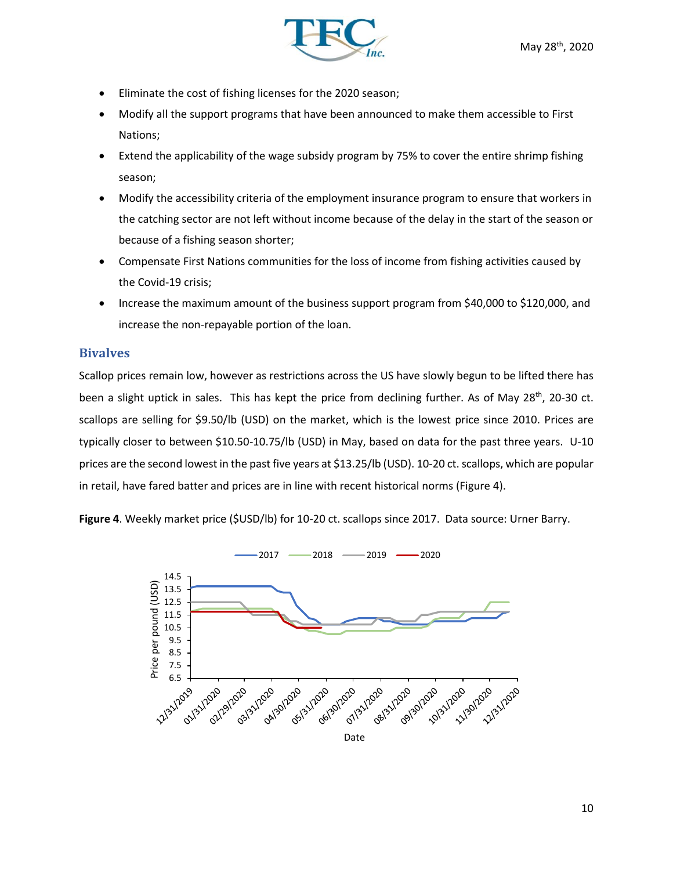

- Eliminate the cost of fishing licenses for the 2020 season;
- Modify all the support programs that have been announced to make them accessible to First Nations;
- Extend the applicability of the wage subsidy program by 75% to cover the entire shrimp fishing season;
- Modify the accessibility criteria of the employment insurance program to ensure that workers in the catching sector are not left without income because of the delay in the start of the season or because of a fishing season shorter;
- Compensate First Nations communities for the loss of income from fishing activities caused by the Covid-19 crisis;
- Increase the maximum amount of the business support program from \$40,000 to \$120,000, and increase the non-repayable portion of the loan.

## **Bivalves**

Scallop prices remain low, however as restrictions across the US have slowly begun to be lifted there has been a slight uptick in sales. This has kept the price from declining further. As of May 28<sup>th</sup>, 20-30 ct. scallops are selling for \$9.50/lb (USD) on the market, which is the lowest price since 2010. Prices are typically closer to between \$10.50-10.75/lb (USD) in May, based on data for the past three years. U-10 prices are the second lowest in the past five years at \$13.25/lb (USD). 10-20 ct. scallops, which are popular in retail, have fared batter and prices are in line with recent historical norms (Figure 4).

**Figure 4**. Weekly market price (\$USD/lb) for 10-20 ct. scallops since 2017. Data source: Urner Barry.

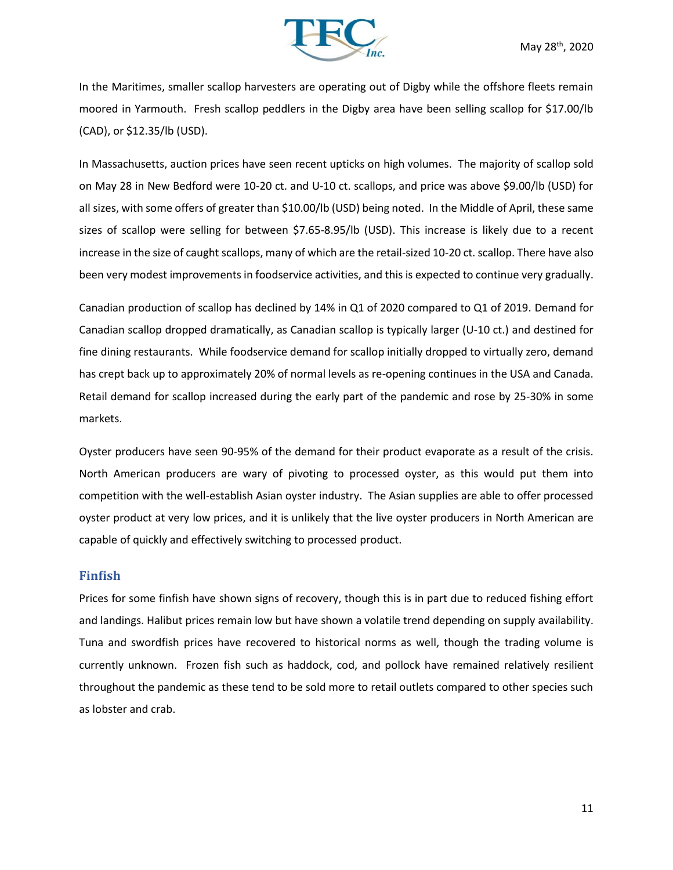

In the Maritimes, smaller scallop harvesters are operating out of Digby while the offshore fleets remain moored in Yarmouth. Fresh scallop peddlers in the Digby area have been selling scallop for \$17.00/lb (CAD), or \$12.35/lb (USD).

In Massachusetts, auction prices have seen recent upticks on high volumes. The majority of scallop sold on May 28 in New Bedford were 10-20 ct. and U-10 ct. scallops, and price was above \$9.00/lb (USD) for all sizes, with some offers of greater than \$10.00/lb (USD) being noted. In the Middle of April, these same sizes of scallop were selling for between \$7.65-8.95/lb (USD). This increase is likely due to a recent increase in the size of caught scallops, many of which are the retail-sized 10-20 ct. scallop. There have also been very modest improvements in foodservice activities, and this is expected to continue very gradually.

Canadian production of scallop has declined by 14% in Q1 of 2020 compared to Q1 of 2019. Demand for Canadian scallop dropped dramatically, as Canadian scallop is typically larger (U-10 ct.) and destined for fine dining restaurants. While foodservice demand for scallop initially dropped to virtually zero, demand has crept back up to approximately 20% of normal levels as re-opening continues in the USA and Canada. Retail demand for scallop increased during the early part of the pandemic and rose by 25-30% in some markets.

Oyster producers have seen 90-95% of the demand for their product evaporate as a result of the crisis. North American producers are wary of pivoting to processed oyster, as this would put them into competition with the well-establish Asian oyster industry. The Asian supplies are able to offer processed oyster product at very low prices, and it is unlikely that the live oyster producers in North American are capable of quickly and effectively switching to processed product.

#### **Finfish**

Prices for some finfish have shown signs of recovery, though this is in part due to reduced fishing effort and landings. Halibut prices remain low but have shown a volatile trend depending on supply availability. Tuna and swordfish prices have recovered to historical norms as well, though the trading volume is currently unknown. Frozen fish such as haddock, cod, and pollock have remained relatively resilient throughout the pandemic as these tend to be sold more to retail outlets compared to other species such as lobster and crab.